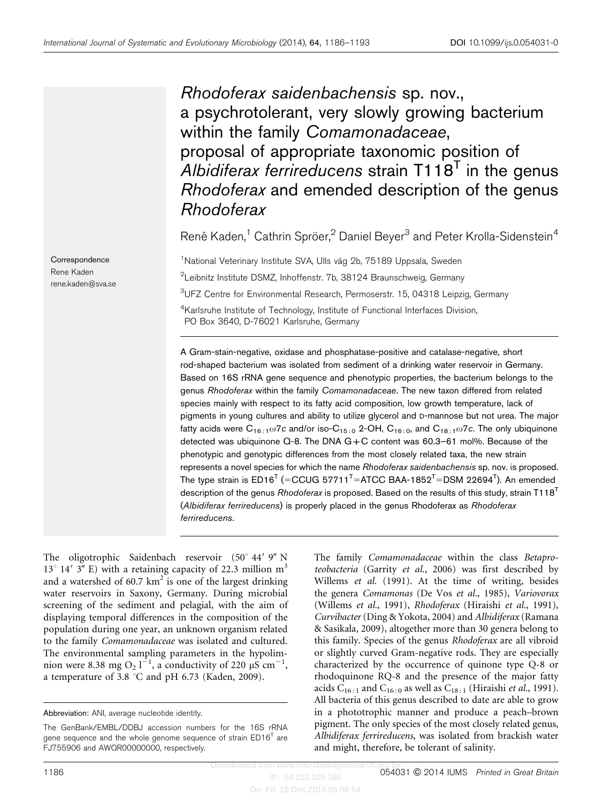Rhodoferax saidenbachensis sp. nov., a psychrotolerant, very slowly growing bacterium within the family Comamonadaceae, proposal of appropriate taxonomic position of Albidiferax ferrireducens strain  $T118<sup>T</sup>$  in the genus Rhodoferax and emended description of the genus Rhodoferax

René Kaden,<sup>1</sup> Cathrin Spröer,<sup>2</sup> Daniel Beyer<sup>3</sup> and Peter Krolla-Sidenstein<sup>4</sup>

<sup>1</sup>National Veterinary Institute SVA, Ulls väg 2b, 75189 Uppsala, Sweden  $^{2}$ Leibnitz Institute DSMZ, Inhoffenstr. 7b, 38124 Braunschweig, Germany <sup>3</sup>UFZ Centre for Environmental Research, Permoserstr. 15, 04318 Leipzig, Germany <sup>4</sup>Karlsruhe Institute of Technology, Institute of Functional Interfaces Division,

PO Box 3640, D-76021 Karlsruhe, Germany

A Gram-stain-negative, oxidase and phosphatase-positive and catalase-negative, short rod-shaped bacterium was isolated from sediment of a drinking water reservoir in Germany. Based on 16S rRNA gene sequence and phenotypic properties, the bacterium belongs to the genus Rhodoferax within the family Comamonadaceae. The new taxon differed from related species mainly with respect to its fatty acid composition, low growth temperature, lack of pigments in young cultures and ability to utilize glycerol and D-mannose but not urea. The major fatty acids were  $C_{16:1}\omega7c$  and/or iso- $C_{15:0}$  2-OH,  $C_{16:0}$ , and  $C_{18:1}\omega7c$ . The only ubiquinone detected was ubiquinone Q-8. The DNA G+C content was 60.3–61 mol%. Because of the phenotypic and genotypic differences from the most closely related taxa, the new strain represents a novel species for which the name Rhodoferax saidenbachensis sp. nov. is proposed. The type strain is ED16<sup>T</sup> (=CCUG 57711<sup>T</sup>=ATCC BAA-1852<sup>T</sup>=DSM 22694<sup>T</sup>). An emended description of the genus Rhodoferax is proposed. Based on the results of this study, strain T118<sup>T</sup> (Albidiferax ferrireducens) is properly placed in the genus Rhodoferax as Rhodoferax ferrireducens.

The oligotrophic Saidenbach reservoir  $(50^{\circ}$  44' 9" N  $13^{\circ}$  14' 3" E) with a retaining capacity of 22.3 million m<sup>3</sup> and a watershed of 60.7  $km^2$  is one of the largest drinking water reservoirs in Saxony, Germany. During microbial screening of the sediment and pelagial, with the aim of displaying temporal differences in the composition of the population during one year, an unknown organism related to the family Comamonadaceae was isolated and cultured. The environmental sampling parameters in the hypolimnion were 8.38 mg O<sub>2</sub> l<sup>-1</sup>, a conductivity of 220  $\mu$ S cm<sup>-1</sup>, a temperature of 3.8 °C and pH 6.73 [\(Kaden, 2009\)](#page-6-0).

The family Comamonadaceae within the class Betaproteobacteria ([Garrity](#page-6-0) et al., 2006) was first described by [Willems](#page-7-0) et al. (1991). At the time of writing, besides the genera Comamonas ([De Vos](#page-6-0) et al., 1985), Variovorax [\(Willems](#page-7-0) et al., 1991), Rhodoferax ([Hiraishi](#page-6-0) et al., 1991), Curvibacter ([Ding & Yokota, 2004](#page-6-0)) and Albidiferax ([Ramana](#page-7-0) [& Sasikala, 2009](#page-7-0)), altogether more than 30 genera belong to this family. Species of the genus Rhodoferax are all vibroid or slightly curved Gram-negative rods. They are especially characterized by the occurrence of quinone type Q-8 or rhodoquinone RQ-8 and the presence of the major fatty acids  $C_{16:1}$  and  $C_{16:0}$  as well as  $C_{18:1}$  ([Hiraishi](#page-6-0) *et al.*, 1991). All bacteria of this genus described to date are able to grow in a phototrophic manner and produce a peach–brown pigment. The only species of the most closely related genus, Albidiferax ferrireducens, was isolated from brackish water and might, therefore, be tolerant of salinity.

**Correspondence** Rene Kaden rene.kaden@sva.se

Abbreviation: ANI, average nucleotide identity.

The GenBank/EMBL/DDBJ accession numbers for the 16S rRNA gene sequence and the whole genome sequence of strain  $ED16<sup>T</sup>$  are FJ755906 and AWQR00000000, respectively.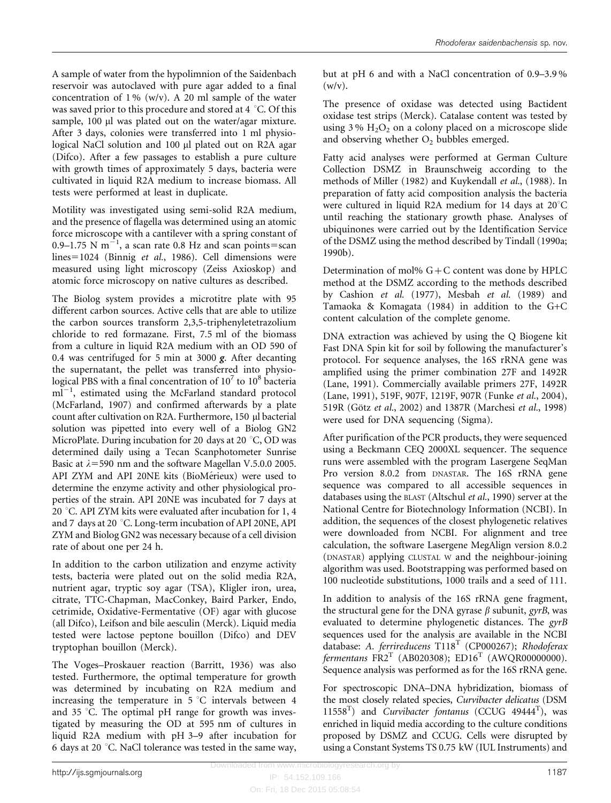A sample of water from the hypolimnion of the Saidenbach reservoir was autoclaved with pure agar added to a final concentration of  $1\%$  (w/v). A 20 ml sample of the water was saved prior to this procedure and stored at 4 °C. Of this sample, 100 µl was plated out on the water/agar mixture. After 3 days, colonies were transferred into 1 ml physiological NaCl solution and 100 µl plated out on R2A agar (Difco). After a few passages to establish a pure culture with growth times of approximately 5 days, bacteria were cultivated in liquid R2A medium to increase biomass. All tests were performed at least in duplicate.

Motility was investigated using semi-solid R2A medium, and the presence of flagella was determined using an atomic force microscope with a cantilever with a spring constant of 0.9–1.75 N  $m^{-1}$ , a scan rate 0.8 Hz and scan points=scan  $lines=1024$  (Binnig et al.[, 1986](#page-6-0)). Cell dimensions were measured using light microscopy (Zeiss Axioskop) and atomic force microscopy on native cultures as described.

The Biolog system provides a microtitre plate with 95 different carbon sources. Active cells that are able to utilize the carbon sources transform 2,3,5-triphenyletetrazolium chloride to red formazane. First, 7.5 ml of the biomass from a culture in liquid R2A medium with an OD 590 of 0.4 was centrifuged for 5 min at 3000  $g$ . After decanting the supernatant, the pellet was transferred into physiological PBS with a final concentration of  $10^7$  to  $10^8$  bacteria  $\text{m}$ <sup>1-1</sup>, estimated using the McFarland standard protocol ([McFarland, 1907\)](#page-7-0) and confirmed afterwards by a plate count after cultivation on R2A. Furthermore, 150 µl bacterial solution was pipetted into every well of a Biolog GN2 MicroPlate. During incubation for 20 days at 20  $\degree$ C, OD was determined daily using a Tecan Scanphotometer Sunrise Basic at  $\lambda$ =590 nm and the software Magellan V.5.0.0 2005. API ZYM and API 20NE kits (BioMérieux) were used to determine the enzyme activity and other physiological properties of the strain. API 20NE was incubated for 7 days at 20 °C. API ZYM kits were evaluated after incubation for 1, 4 and 7 days at 20  $\degree$ C. Long-term incubation of API 20NE, API ZYM and Biolog GN2 was necessary because of a cell division rate of about one per 24 h.

In addition to the carbon utilization and enzyme activity tests, bacteria were plated out on the solid media R2A, nutrient agar, tryptic soy agar (TSA), Kligler iron, urea, citrate, TTC-Chapman, MacConkey, Baird Parker, Endo, cetrimide, Oxidative-Fermentative (OF) agar with glucose (all Difco), Leifson and bile aesculin (Merck). Liquid media tested were lactose peptone bouillon (Difco) and DEV tryptophan bouillon (Merck).

The Voges–Proskauer reaction ([Barritt, 1936](#page-6-0)) was also tested. Furthermore, the optimal temperature for growth was determined by incubating on R2A medium and increasing the temperature in  $5^{\circ}$ C intervals between 4 and 35 °C. The optimal pH range for growth was investigated by measuring the OD at 595 nm of cultures in liquid R2A medium with pH 3–9 after incubation for 6 days at 20  $\degree$ C. NaCl tolerance was tested in the same way,

but at pH 6 and with a NaCl concentration of 0.9–3.9 %  $(w/v)$ .

The presence of oxidase was detected using Bactident oxidase test strips (Merck). Catalase content was tested by using  $3\%$  H<sub>2</sub>O<sub>2</sub> on a colony placed on a microscope slide and observing whether  $O_2$  bubbles emerged.

Fatty acid analyses were performed at German Culture Collection DSMZ in Braunschweig according to the methods of [Miller \(1982\)](#page-7-0) and [Kuykendall](#page-7-0) et al., (1988). In preparation of fatty acid composition analysis the bacteria were cultured in liquid R2A medium for 14 days at  $20^{\circ}$ C until reaching the stationary growth phase. Analyses of ubiquinones were carried out by the Identification Service of the DSMZ using the method described by [Tindall \(1990a;](#page-7-0) [1990b\).](#page-7-0)

Determination of mol%  $G + C$  content was done by HPLC method at the DSMZ according to the methods described by [Cashion](#page-6-0) et al. (1977), [Mesbah](#page-7-0) et al. (1989) and [Tamaoka & Komagata \(1984\)](#page-7-0) in addition to the G+C content calculation of the complete genome.

DNA extraction was achieved by using the Q Biogene kit Fast DNA Spin kit for soil by following the manufacturer's protocol. For sequence analyses, the 16S rRNA gene was amplified using the primer combination 27F and 1492R ([Lane, 1991](#page-7-0)). Commercially available primers 27F, 1492R ([Lane, 1991\)](#page-7-0), 519F, 907F, 1219F, 907R ([Funke](#page-6-0) et al., 2004), 519R (Götz et al.[, 2002](#page-6-0)) and 1387R [\(Marchesi](#page-7-0) et al., 1998) were used for DNA sequencing (Sigma).

After purification of the PCR products, they were sequenced using a Beckmann CEQ 2000XL sequencer. The sequence runs were assembled with the program Lasergene SeqMan Pro version 8.0.2 from DNASTAR. The 16S rRNA gene sequence was compared to all accessible sequences in databases using the BLAST ([Altschul](#page-6-0) et al., 1990) server at the National Centre for Biotechnology Information (NCBI). In addition, the sequences of the closest phylogenetic relatives were downloaded from NCBI. For alignment and tree calculation, the software Lasergene MegAlign version 8.0.2 (DNASTAR) applying CLUSTAL W and the neighbour-joining algorithm was used. Bootstrapping was performed based on 100 nucleotide substitutions, 1000 trails and a seed of 111.

In addition to analysis of the 16S rRNA gene fragment, the structural gene for the DNA gyrase  $\beta$  subunit, gyrB, was evaluated to determine phylogenetic distances. The gyrB sequences used for the analysis are available in the NCBI database: A. ferrireducens  $T118<sup>T</sup>$  (CP000267); Rhodoferax fermentans  $FR2^T$  (AB020308);  $ED16^T$  (AWQR00000000). Sequence analysis was performed as for the 16S rRNA gene.

For spectroscopic DNA–DNA hybridization, biomass of the most closely related species, Curvibacter delicatus (DSM  $11558<sup>T</sup>$ ) and *Curvibacter fontanus* (CCUG 49444<sup>T</sup>), was enriched in liquid media according to the culture conditions proposed by DSMZ and CCUG. Cells were disrupted by using a Constant Systems TS 0.75 kW (IUL Instruments) and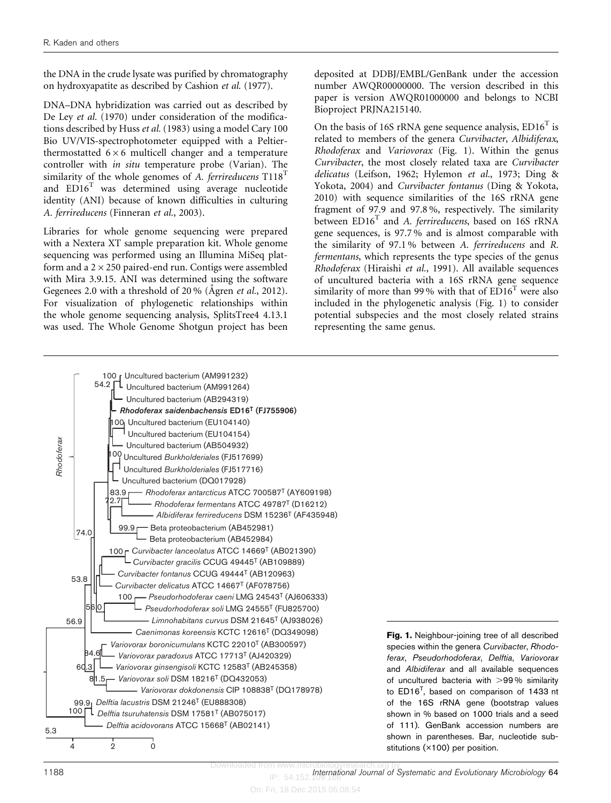<span id="page-2-0"></span>the DNA in the crude lysate was purified by chromatography on hydroxyapatite as described by [Cashion](#page-6-0) et al. (1977).

DNA–DNA hybridization was carried out as described by [De Ley](#page-6-0) et al. (1970) under consideration of the modifications described by Huss et al. [\(1983\)](#page-6-0) using a model Cary 100 Bio UV/VIS-spectrophotometer equipped with a Peltierthermostatted  $6 \times 6$  multicell changer and a temperature controller with in situ temperature probe (Varian). The similarity of the whole genomes of A. ferrireducens  $T118$ <sup>T</sup> and  $ED16<sup>T</sup>$  was determined using average nucleotide identity (ANI) because of known difficulties in culturing A. ferrireducens [\(Finneran](#page-6-0) et al., 2003).

Libraries for whole genome sequencing were prepared with a Nextera XT sample preparation kit. Whole genome sequencing was performed using an Illumina MiSeq platform and a  $2 \times 250$  paired-end run. Contigs were assembled with Mira 3.9.15. ANI was determined using the software Gegenees 2.0 with a threshold of  $20\%$  (Agren *et al.*[, 2012](#page-6-0)). For visualization of phylogenetic relationships within the whole genome sequencing analysis, SplitsTree4 4.13.1 was used. The Whole Genome Shotgun project has been

deposited at DDBJ/EMBL/GenBank under the accession number AWQR00000000. The version described in this paper is version AWQR01000000 and belongs to NCBI Bioproject PRJNA215140.

On the basis of 16S rRNA gene sequence analysis,  $ED16<sup>T</sup>$  is related to members of the genera Curvibacter, Albidiferax, Rhodoferax and Variovorax (Fig. 1). Within the genus Curvibacter, the most closely related taxa are Curvibacter delicatus [\(Leifson, 1962](#page-7-0); [Hylemon](#page-6-0) et al., 1973; [Ding &](#page-6-0) [Yokota, 2004\)](#page-6-0) and Curvibacter fontanus [\(Ding & Yokota,](#page-6-0) [2010](#page-6-0)) with sequence similarities of the 16S rRNA gene fragment of 97.9 and 97.8 %, respectively. The similarity between ED16<sup>T</sup> and A. ferrireducens, based on 16S rRNA gene sequences, is 97.7 % and is almost comparable with the similarity of 97.1 % between A. ferrireducens and R. fermentans, which represents the type species of the genus Rhodoferax [\(Hiraishi](#page-6-0) et al., 1991). All available sequences of uncultured bacteria with a 16S rRNA gene sequence similarity of more than 99% with that of  $ED16<sup>T</sup>$  were also included in the phylogenetic analysis (Fig. 1) to consider potential subspecies and the most closely related strains representing the same genus.



 $IP: 54.152$ 1188 **International Journal of Systematic and Evolutionary Microbiology 64**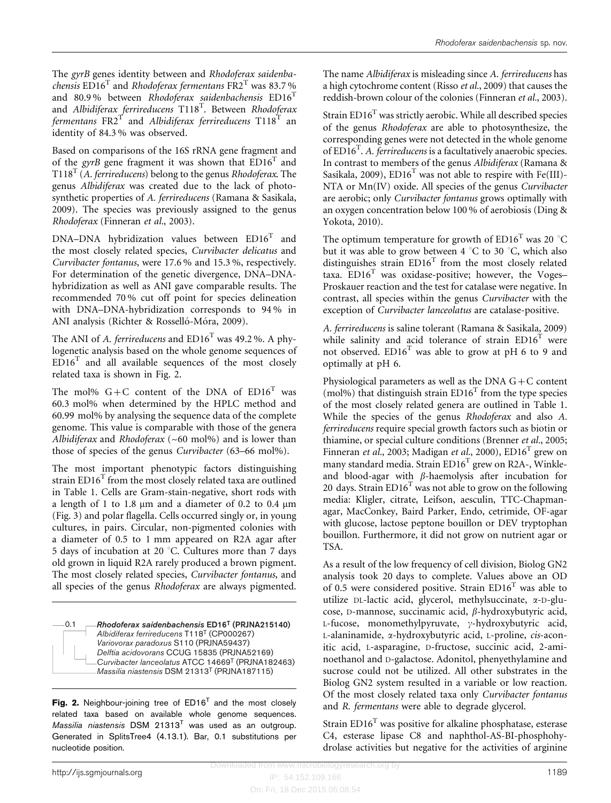The gyrB genes identity between and Rhodoferax saidenbachensis  $ED16<sup>T</sup>$  and Rhodoferax fermentans  $FR2<sup>T</sup>$  was 83.7% and 80.9% between Rhodoferax saidenbachensis  $ED16<sup>T</sup>$ and Albidiferax ferrireducens  $118^T$ . Between Rhodoferax fermentans  $F R2^T$  and Albidiferax ferrireducens T118<sup>T</sup> an identity of 84.3 % was observed.

Based on comparisons of the 16S rRNA gene fragment and of the *gyrB* gene fragment it was shown that  $ED16^T$  and  $T118<sup>T</sup>$  (A. ferrireducens) belong to the genus Rhodoferax. The genus Albidiferax was created due to the lack of photosynthetic properties of A. ferrireducens [\(Ramana & Sasikala,](#page-7-0) [2009\)](#page-7-0). The species was previously assigned to the genus Rhodoferax [\(Finneran](#page-6-0) et al., 2003).

DNA–DNA hybridization values between  $ED16<sup>T</sup>$  and the most closely related species, Curvibacter delicatus and Curvibacter fontanus, were 17.6 % and 15.3 %, respectively. For determination of the genetic divergence, DNA–DNAhybridization as well as ANI gave comparable results. The recommended 70 % cut off point for species delineation with DNA–DNA-hybridization corresponds to 94 % in ANI analysis (Richter & Rosselló-Móra, 2009).

The ANI of A. ferrireducens and  $ED16<sup>T</sup>$  was 49.2 %. A phylogenetic analysis based on the whole genome sequences of  $ED16<sup>T</sup>$  and all available sequences of the most closely related taxa is shown in Fig. 2.

The mol%  $G+C$  content of the DNA of  $ED16<sup>T</sup>$  was 60.3 mol% when determined by the HPLC method and 60.99 mol% by analysing the sequence data of the complete genome. This value is comparable with those of the genera Albidiferax and Rhodoferax  $({\sim}60 \text{ mol\%})$  and is lower than those of species of the genus Curvibacter (63–66 mol%).

The most important phenotypic factors distinguishing strain  $ED16<sup>T</sup>$  from the most closely related taxa are outlined in [Table 1.](#page-4-0) Cells are Gram-stain-negative, short rods with a length of 1 to 1.8  $\mu$ m and a diameter of 0.2 to 0.4  $\mu$ m ([Fig. 3](#page-5-0)) and polar flagella. Cells occurred singly or, in young cultures, in pairs. Circular, non-pigmented colonies with a diameter of 0.5 to 1 mm appeared on R2A agar after 5 days of incubation at 20  $^{\circ}$ C. Cultures more than 7 days old grown in liquid R2A rarely produced a brown pigment. The most closely related species, Curvibacter fontanus, and all species of the genus Rhodoferax are always pigmented.

*Rhodoferax saidenbachensis* ED16T (PRJNA215140) *Albidiferax ferrireducens* T118T (CP000267) *Variovorax paradoxus* S110 (PRJNA59437) *Delftia acidovorans* CCUG 15835 (PRJNA52169) *Curvibacter lanceolatus* ATCC 14669T (PRJNA182463) *Massilia niastensis* DSM 21313T (PRJNA187115)  $-0.1$ 

Fig. 2. Neighbour-joining tree of  $ED16<sup>T</sup>$  and the most closely related taxa based on available whole genome sequences. Massilia niastensis DSM  $21313<sup>T</sup>$  was used as an outgroup. Generated in SplitsTree4 (4.13.1). Bar, 0.1 substitutions per nucleotide position.

The name Albidiferax is misleading since A. ferrireducens has a high cytochrome content (Risso et al.[, 2009](#page-7-0)) that causes the reddish-brown colour of the colonies [\(Finneran](#page-6-0) et al., 2003).

Strain  $ED16<sup>T</sup>$  was strictly aerobic. While all described species of the genus Rhodoferax are able to photosynthesize, the corresponding genes were not detected in the whole genome of  $ED16^T$ . A. ferrireducens is a facultatively anaerobic species. In contrast to members of the genus Albidiferax ([Ramana &](#page-7-0) [Sasikala, 2009](#page-7-0)),  $ED16<sup>T</sup>$  was not able to respire with Fe(III)-NTA or Mn(IV) oxide. All species of the genus Curvibacter are aerobic; only Curvibacter fontanus grows optimally with an oxygen concentration below 100 % of aerobiosis ([Ding &](#page-6-0) [Yokota, 2010](#page-6-0)).

The optimum temperature for growth of  $ED16^T$  was 20 °C but it was able to grow between  $4^{\circ}$ C to 30  $^{\circ}$ C, which also distinguishes strain  $ED16<sup>T</sup>$  from the most closely related taxa.  $ED16<sup>T</sup>$  was oxidase-positive; however, the Voges– Proskauer reaction and the test for catalase were negative. In contrast, all species within the genus Curvibacter with the exception of Curvibacter lanceolatus are catalase-positive.

A. ferrireducens is saline tolerant [\(Ramana & Sasikala, 2009](#page-7-0)) while salinity and acid tolerance of strain  $ED16<sup>T</sup>$  were not observed.  $ED16<sup>T</sup>$  was able to grow at pH 6 to 9 and optimally at pH 6.

Physiological parameters as well as the DNA  $G+C$  content (mol%) that distinguish strain  $ED16<sup>T</sup>$  from the type species of the most closely related genera are outlined in [Table 1.](#page-4-0) While the species of the genus Rhodoferax and also A. ferrireducens require special growth factors such as biotin or thiamine, or special culture conditions ([Brenner](#page-6-0) et al., 2005; [Finneran](#page-6-0) et al., 2003; [Madigan](#page-7-0) et al., 2000),  $ED16<sup>T</sup>$  grew on many standard media. Strain ED16<sup>T</sup> grew on R2A-, Winkleand blood-agar with  $\beta$ -haemolysis after incubation for 20 days. Strain  $ED16<sup>T</sup>$  was not able to grow on the following media: Kligler, citrate, Leifson, aesculin, TTC-Chapmanagar, MacConkey, Baird Parker, Endo, cetrimide, OF-agar with glucose, lactose peptone bouillon or DEV tryptophan bouillon. Furthermore, it did not grow on nutrient agar or TSA.

As a result of the low frequency of cell division, Biolog GN2 analysis took 20 days to complete. Values above an OD of 0.5 were considered positive. Strain  $ED16<sup>T</sup>$  was able to utilize DL-lactic acid, glycerol, methylsuccinate, a-D-glucose, D-mannose, succinamic acid,  $\beta$ -hydroxybutyric acid,  $L$ -fucose, monomethylpyruvate,  $\gamma$ -hydroxybutyric acid, L-alaninamide, a-hydroxybutyric acid, L-proline, cis-aconitic acid, L-asparagine, D-fructose, succinic acid, 2-aminoethanol and D-galactose. Adonitol, phenyethylamine and sucrose could not be utilized. All other substrates in the Biolog GN2 system resulted in a variable or low reaction. Of the most closely related taxa only Curvibacter fontanus and R. fermentans were able to degrade glycerol.

Strain  $ED16<sup>T</sup>$  was positive for alkaline phosphatase, esterase C4, esterase lipase C8 and naphthol-AS-BI-phosphohydrolase activities but negative for the activities of arginine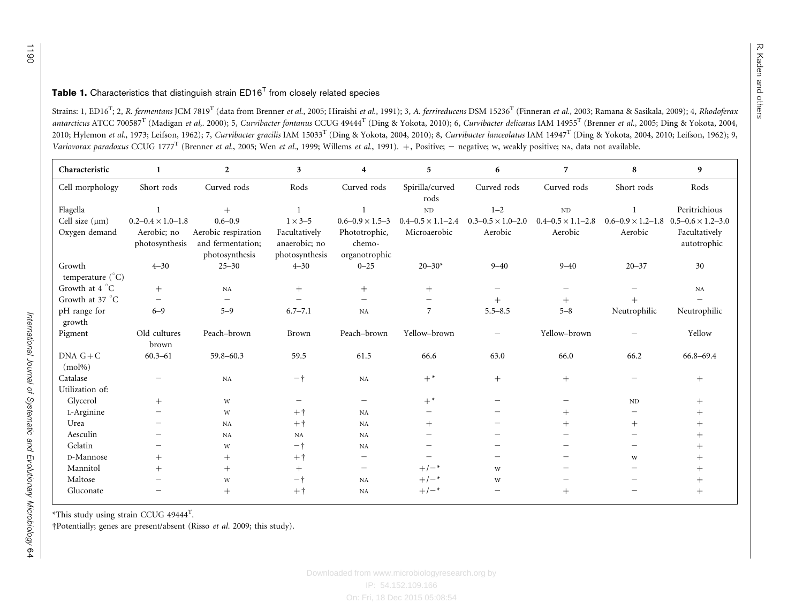#### <span id="page-4-0"></span>**Table 1.** Characteristics that distinguish strain  $ED16<sup>T</sup>$  from closely related species

Strains: 1, ED16<sup>T</sup>; 2, R. fermentans JCM 7819<sup>T</sup> (data from [Brenner](#page-6-0) et al., 2005; [Hiraishi](#page-6-0) et al., 1991); 3, A. ferrireducens DSM 15236<sup>T</sup> ([Finneran](#page-6-0) et al., 2003; Ramana & [Sasikala,](#page-7-0) 2009); 4, Rhodoferax antarcticus ATCC 700587<sup>T</sup> ([Madigan](#page-7-0) *et al*., 2000); 5, *Curvibacter fontanus* CCUG 49444<sup>T</sup> (Ding & [Yokota,](#page-6-0) 2010); 6, *Curvibacter delicatus* IAM 14955<sup>T</sup> ([Brenner](#page-6-0) *et al.*, 2005; Ding & Yokota, 2004, [2010](#page-6-0); [Hylemon](#page-6-0) et al., 1973; [Leifson,](#page-7-0) 1962); 7, Curvibacter gracilis IAM 15033<sup>T</sup> (Ding & [Yokota,](#page-6-0) 2004, 2010); 8, Curvibacter lanceolatus IAM 14947<sup>T</sup> (Ding & Yokota, 2004, 2010; Leifson, 1962); 9, Variovorax paradoxus CCUG 1777<sup>T</sup> ([Brenner](#page-6-0) *et al.*, 2005; Wen *et al.*, [1999](#page-7-0); [Willems](#page-7-0) *et al.*, 1991). +, Positive; - negative; w, weakly positive; NA, data not available.

| Characteristic             | -1                            | $\overline{2}$                                             | 3                                                | 4                                        | 5                            | 6                            | 7                            | 8                            | 9                            |
|----------------------------|-------------------------------|------------------------------------------------------------|--------------------------------------------------|------------------------------------------|------------------------------|------------------------------|------------------------------|------------------------------|------------------------------|
| Cell morphology            | Short rods                    | Curved rods                                                | Rods                                             | Curved rods                              | Spirilla/curved<br>rods      | Curved rods                  | Curved rods                  | Short rods                   | Rods                         |
| Flagella                   |                               | $^{+}$                                                     |                                                  |                                          | ND                           | $1 - 2$                      | ND                           |                              | Peritrichious                |
| Cell size $(\mu m)$        | $0.2 - 0.4 \times 1.0 - 1.8$  | $0.6 - 0.9$                                                | $1 \times 3 - 5$                                 | $0.6 - 0.9 \times 1.5 - 3$               | $0.4 - 0.5 \times 1.1 - 2.4$ | $0.3 - 0.5 \times 1.0 - 2.0$ | $0.4 - 0.5 \times 1.1 - 2.8$ | $0.6 - 0.9 \times 1.2 - 1.8$ | $0.5 - 0.6 \times 1.2 - 3.0$ |
| Oxygen demand              | Aerobic; no<br>photosynthesis | Aerobic respiration<br>and fermentation;<br>photosynthesis | Facultatively<br>anaerobic; no<br>photosynthesis | Phototrophic,<br>chemo-<br>organotrophic | Microaerobic                 | Aerobic                      | Aerobic                      | Aerobic                      | Facultatively<br>autotrophic |
| Growth<br>temperature (°C) | $4 - 30$                      | $25 - 30$                                                  | $4 - 30$                                         | $0 - 25$                                 | $20 - 30*$                   | $9 - 40$                     | $9 - 40$                     | $20 - 37$                    | 30                           |
| Growth at 4 °C             | $^{+}$                        | NA                                                         | $^{+}$                                           | $^{+}$                                   | $^{+}$                       | $\overline{\phantom{0}}$     | -                            |                              | NA                           |
| Growth at 37 °C            | $\qquad \qquad -$             |                                                            |                                                  | $\overline{\phantom{0}}$                 |                              | $+$                          | $^{+}$                       | $^{+}$                       |                              |
| pH range for<br>growth     | $6 - 9$                       | $5 - 9$                                                    | $6.7 - 7.1$                                      | NA                                       | $\overline{7}$               | $5.5 - 8.5$                  | $5 - 8$                      | Neutrophilic                 | Neutrophilic                 |
| Pigment                    | Old cultures                  | Peach-brown                                                | Brown                                            | Peach-brown                              | Yellow-brown                 |                              | Yellow-brown                 |                              | Yellow                       |
|                            | brown                         |                                                            |                                                  |                                          |                              |                              |                              |                              |                              |
| $DNA G+C$<br>$(mol\%)$     | $60.3 - 61$                   | 59.8-60.3                                                  | 59.5                                             | 61.5                                     | 66.6                         | 63.0                         | 66.0                         | 66.2                         | 66.8-69.4                    |
| Catalase                   |                               | NA                                                         | $-+$                                             | NA                                       | $+^*$                        | $^{+}$                       | $^{+}$                       |                              | $^{+}$                       |
| Utilization of:            |                               |                                                            |                                                  |                                          |                              |                              |                              |                              |                              |
| Glycerol                   | $^{+}$                        | W                                                          | $\overline{\phantom{m}}$                         | $\overline{\phantom{0}}$                 | $+^*$                        |                              |                              | $\rm ND$                     | $^{+}$                       |
| L-Arginine                 |                               | W                                                          | $+$ $+$                                          | NA                                       |                              |                              | $^{+}$                       | $\overline{\phantom{m}}$     |                              |
| Urea                       |                               | NA                                                         | $+$ $+$                                          | NA                                       | $^{+}$                       |                              | $^{+}$                       | $^{+}$                       |                              |
| Aesculin                   |                               | NA                                                         | NA                                               | NA                                       |                              |                              |                              |                              |                              |
| Gelatin                    |                               | W                                                          | $-+$                                             | NA                                       |                              |                              |                              |                              |                              |
| D-Mannose                  | $^{+}$                        | $^{+}$                                                     | $+$ $+$                                          | $\overline{\phantom{0}}$                 |                              |                              |                              | W                            | $^+$                         |
| Mannitol                   | $^{+}$                        | $+$                                                        | $^{+}$                                           | $\qquad \qquad -$                        | $+/-$ *                      | W                            |                              |                              |                              |
| Maltose                    |                               | W                                                          | $-+$                                             | NA                                       | $+/-$ *                      | W                            |                              |                              |                              |
| Gluconate                  |                               | $^{+}$                                                     | $+$ $+$                                          | NA                                       | $+/-$ *                      |                              | $^{+}$                       |                              |                              |

\*This study using strain CCUG <sup>49444</sup>T.

†Potentially; genes are present/absent ([Risso](#page-7-0) et al. 2009; this study).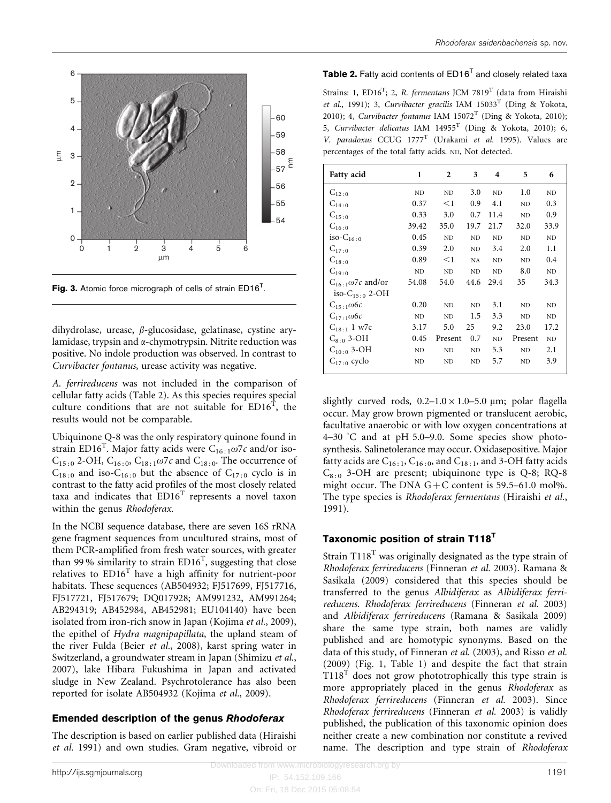<span id="page-5-0"></span>

Fig. 3. Atomic force micrograph of cells of strain  $ED16<sup>T</sup>$ .

dihydrolase, urease,  $\beta$ -glucosidase, gelatinase, cystine arylamidase, trypsin and  $\alpha$ -chymotrypsin. Nitrite reduction was positive. No indole production was observed. In contrast to Curvibacter fontanus, urease activity was negative.

A. ferrireducens was not included in the comparison of cellular fatty acids (Table 2). As this species requires special culture conditions that are not suitable for  $ED16^T$ , the results would not be comparable.

Ubiquinone Q-8 was the only respiratory quinone found in strain ED16<sup>T</sup>. Major fatty acids were  $C_{16:1}\omega$ 7c and/or iso- $C_{15:0}$  2-OH,  $C_{16:0}$ ,  $C_{18:1}$   $\omega$ 7c and  $C_{18:0}$ . The occurrence of  $C_{18:0}$  and iso- $C_{16:0}$  but the absence of  $C_{17:0}$  cyclo is in contrast to the fatty acid profiles of the most closely related taxa and indicates that  $ED16<sup>T</sup>$  represents a novel taxon within the genus Rhodoferax.

In the NCBI sequence database, there are seven 16S rRNA gene fragment sequences from uncultured strains, most of them PCR-amplified from fresh water sources, with greater than 99% similarity to strain  $ED16<sup>T</sup>$ , suggesting that close relatives to  $ED16<sup>T</sup>$  have a high affinity for nutrient-poor habitats. These sequences (AB504932; FJ517699, FJ517716, FJ517721, FJ517679; DQ017928; AM991232, AM991264; AB294319; AB452984, AB452981; EU104140) have been isolated from iron-rich snow in Japan ([Kojima](#page-6-0) et al., 2009), the epithel of Hydra magnipapillata, the upland steam of the river Fulda (Beier et al.[, 2008\)](#page-6-0), karst spring water in Switzerland, a groundwater stream in Japan ([Shimizu](#page-7-0) et al., [2007\)](#page-7-0), lake Hibara Fukushima in Japan and activated sludge in New Zealand. Psychrotolerance has also been reported for isolate AB504932 ([Kojima](#page-6-0) et al., 2009).

# Emended description of the genus Rhodoferax

The description is based on earlier published data [\(Hiraishi](#page-6-0) et al. [1991\)](#page-6-0) and own studies. Gram negative, vibroid or

#### **Table 2.** Fatty acid contents of  $ED16<sup>T</sup>$  and closely related taxa

Strains: 1,  $ED16^T$ ; 2, R. fermentans JCM 7819<sup>T</sup> (data from [Hiraishi](#page-6-0) [et al.,](#page-6-0) 1991); 3, Curvibacter gracilis IAM  $15033<sup>T</sup>$  ([Ding & Yokota,](#page-6-0) [2010](#page-6-0)); 4, Curvibacter fontanus IAM  $15072<sup>T</sup>$  ([Ding & Yokota, 2010\)](#page-6-0); 5, Curvibacter delicatus IAM 14955<sup>T</sup> [\(Ding & Yokota, 2010\)](#page-6-0); 6, V. paradoxus CCUG 1777<sup>T</sup> (Urakami et al. 1995). Values are percentages of the total fatty acids. ND, Not detected.

| <b>Fatty acid</b>            | 1         | 2         | 3              | 4              | 5              | 6              |
|------------------------------|-----------|-----------|----------------|----------------|----------------|----------------|
| $C_{12:0}$                   | ND        | ND        | 3.0            | <b>ND</b>      | 1.0            | N <sub>D</sub> |
| $C_{14:0}$                   | 0.37      | $<$ 1     | 0.9            | 4.1            | N <sub>D</sub> | 0.3            |
| $C_{15:0}$                   | 0.33      | 3.0       | 0.7            | 11.4           | <b>ND</b>      | 0.9            |
| $C_{16:0}$                   | 39.42     | 35.0      | 19.7           | 21.7           | 32.0           | 33.9           |
| $iso-C_{16:0}$               | 0.45      | ND        | N <sub>D</sub> | N <sub>D</sub> | <b>ND</b>      | N <sub>D</sub> |
| $C_{17:0}$                   | 0.39      | 2.0       | ND.            | 3.4            | 2.0            | 1.1            |
| $C_{18:0}$                   | 0.89      | $<$ 1     | NA             | N <sub>D</sub> | <b>ND</b>      | 0.4            |
| $C_{19:0}$                   | <b>ND</b> | ND        | ND             | N <sub>D</sub> | 8.0            | N <sub>D</sub> |
| $C_{16+1}\omega$ 7c and/or   | 54.08     | 54.0      | 44.6           | 29.4           | 35             | 34.3           |
| iso- $C_{15}$ $\cdot$ 0.2-OH |           |           |                |                |                |                |
| $C_{15+1}\omega$ 6c          | 0.20      | ND        | ND             | 3.1            | ND.            | ND             |
| $C_{17+1}\omega$ 6c          | <b>ND</b> | <b>ND</b> | 1.5            | 3.3            | <b>ND</b>      | <b>ND</b>      |
| $C_{18:1}$ 1 w7c             | 3.17      | 5.0       | 25             | 9.2            | 23.0           | 17.2           |
| $C_{8:0}$ 3-OH               | 0.45      | Present   | 0.7            | ND             | Present        | ND             |
| $C_{10:0}$ 3-OH              | ND        | ND        | ND             | 5.3            | ND             | 2.1            |
| $C_{17:0}$ cyclo             | <b>ND</b> | ND        | ND             | 5.7            | <b>ND</b>      | 3.9            |

slightly curved rods,  $0.2-1.0 \times 1.0-5.0$  µm; polar flagella occur. May grow brown pigmented or translucent aerobic, facultative anaerobic or with low oxygen concentrations at 4–30  $\degree$ C and at pH 5.0–9.0. Some species show photosynthesis. Salinetolerance may occur. Oxidasepositive. Major fatty acids are  $C_{16:1}$ ,  $C_{16:0}$ , and  $C_{18:1}$ , and 3-OH fatty acids  $C_{8:0}$  3-OH are present; ubiquinone type is Q-8; RQ-8 might occur. The DNA  $G + C$  content is 59.5–61.0 mol%. The type species is Rhodoferax fermentans [\(Hiraishi](#page-6-0) et al., [1991](#page-6-0)).

# Taxonomic position of strain T118<sup>T</sup>

Strain  $T118<sup>T</sup>$  was originally designated as the type strain of Rhodoferax ferrireducens [\(Finneran](#page-6-0) et al. 2003). [Ramana &](#page-7-0) [Sasikala \(2009\)](#page-7-0) considered that this species should be transferred to the genus Albidiferax as Albidiferax ferrireducens. Rhodoferax ferrireducens [\(Finneran](#page-6-0) et al. 2003) and Albidiferax ferrireducens ([Ramana & Sasikala 2009](#page-7-0)) share the same type strain, both names are validly published and are homotypic synonyms. Based on the data of this study, of [Finneran](#page-6-0) et al. (2003), and [Risso](#page-7-0) et al. [\(2009\) \(Fig. 1,](#page-2-0) [Table 1](#page-4-0)) and despite the fact that strain  $T118<sup>T</sup>$  does not grow phototrophically this type strain is more appropriately placed in the genus Rhodoferax as Rhodoferax ferrireducens [\(Finneran](#page-6-0) et al. 2003). Since Rhodoferax ferrireducens ([Finneran](#page-6-0) et al. 2003) is validly published, the publication of this taxonomic opinion does neither create a new combination nor constitute a revived name. The description and type strain of Rhodoferax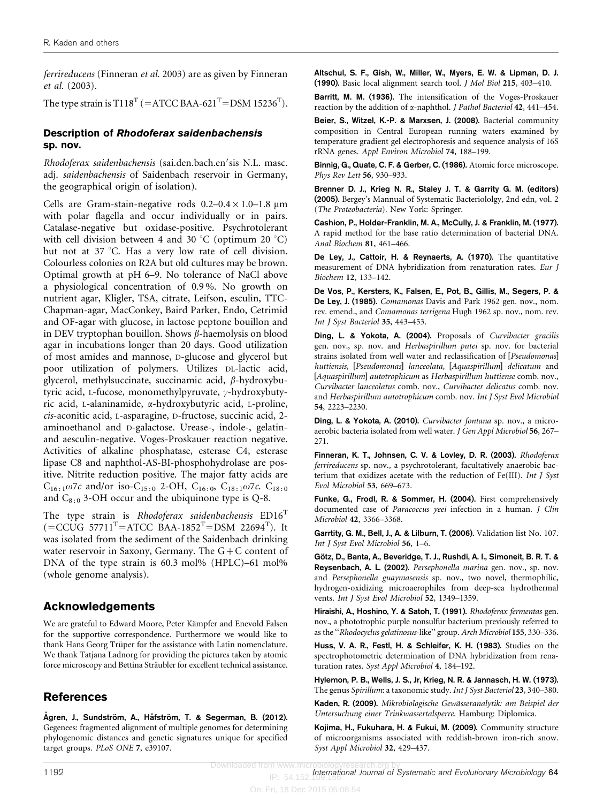<span id="page-6-0"></span>ferrireducens (Finneran et al. 2003) are as given by Finneran et al. (2003).

The type strain is  $\mathrm{T}118^\mathrm{T}$  (=ATCC BAA-621<sup>T</sup>=DSM 15236<sup>T</sup>).

#### Description of Rhodoferax saidenbachensis sp. nov.

Rhodoferax saidenbachensis (sai.den.bach.en'sis N.L. masc. adj. saidenbachensis of Saidenbach reservoir in Germany, the geographical origin of isolation).

Cells are Gram-stain-negative rods  $0.2-0.4 \times 1.0-1.8 \mu m$ with polar flagella and occur individually or in pairs. Catalase-negative but oxidase-positive. Psychrotolerant with cell division between 4 and 30 °C (optimum 20 °C) but not at 37 °C. Has a very low rate of cell division. Colourless colonies on R2A but old cultures may be brown. Optimal growth at pH 6–9. No tolerance of NaCl above a physiological concentration of 0.9 %. No growth on nutrient agar, Kligler, TSA, citrate, Leifson, esculin, TTC-Chapman-agar, MacConkey, Baird Parker, Endo, Cetrimid and OF-agar with glucose, in lactose peptone bouillon and in DEV tryptophan bouillon. Shows  $\beta$ -haemolysis on blood agar in incubations longer than 20 days. Good utilization of most amides and mannose, D-glucose and glycerol but poor utilization of polymers. Utilizes DL-lactic acid, glycerol, methylsuccinate, succinamic acid,  $\beta$ -hydroxybutyric acid, L-fucose, monomethylpyruvate,  $\gamma$ -hydroxybutyric acid, L-alaninamide, a-hydroxybutyric acid, L-proline, cis-aconitic acid, L-asparagine, D-fructose, succinic acid, 2 aminoethanol and D-galactose. Urease-, indole-, gelatinand aesculin-negative. Voges-Proskauer reaction negative. Activities of alkaline phosphatase, esterase C4, esterase lipase C8 and naphthol-AS-BI-phosphohydrolase are positive. Nitrite reduction positive. The major fatty acids are  $C_{16:1}\omega$ 7c and/or iso-C<sub>15:0</sub> 2-OH, C<sub>16:0</sub>, C<sub>18:1</sub> $\omega$ 7c. C<sub>18:0</sub> and  $C_{8:0}$  3-OH occur and the ubiquinone type is Q-8.

The type strain is Rhodoferax saidenbachensis  $ED16<sup>T</sup>$  $($ =CCUG 57711<sup>T</sup>=ATCC BAA-1852<sup>T</sup>=DSM 22694<sup>T</sup>). It was isolated from the sediment of the Saidenbach drinking water reservoir in Saxony, Germany. The G+C content of DNA of the type strain is 60.3 mol% (HPLC)–61 mol% (whole genome analysis).

# Acknowledgements

We are grateful to Edward Moore, Peter Kämpfer and Enevold Falsen for the supportive correspondence. Furthermore we would like to thank Hans Georg Trüper for the assistance with Latin nomenclature. We thank Tatjana Ladnorg for providing the pictures taken by atomic force microscopy and Bettina Sträubler for excellent technical assistance.

# References

Ågren, J., Sundström, A., Håfström, T. & Segerman, B. (2012). Gegenees: fragmented alignment of multiple genomes for determining phylogenomic distances and genetic signatures unique for specified target groups. PLoS ONE 7, e39107.

Altschul, S. F., Gish, W., Miller, W., Myers, E. W. & Lipman, D. J. (1990). Basic local alignment search tool. J Mol Biol 215, 403–410.

Barritt, M. M. (1936). The intensification of the Voges-Proskauer reaction by the addition of  $\alpha$ -naphthol. *J Pathol Bacteriol* 42, 441–454.

Beier, S., Witzel, K.-P. & Marxsen, J. (2008). Bacterial community composition in Central European running waters examined by temperature gradient gel electrophoresis and sequence analysis of 16S rRNA genes. Appl Environ Microbiol 74, 188–199.

Binnig, G., Quate, C. F. & Gerber, C. (1986). Atomic force microscope. Phys Rev Lett 56, 930–933.

Brenner D. J., Krieg N. R., Staley J. T. & Garrity G. M. (editors) (2005). Bergey's Mannual of Systematic Bacteriololgy, 2nd edn, vol. 2 (The Proteobacteria). New York: Springer.

Cashion, P., Holder-Franklin, M. A., McCully, J. & Franklin, M. (1977). A rapid method for the base ratio determination of bacterial DNA. Anal Biochem 81, 461–466.

De Ley, J., Cattoir, H. & Reynaerts, A. (1970). The quantitative measurement of DNA hybridization from renaturation rates. Eur J Biochem 12, 133–142.

De Vos, P., Kersters, K., Falsen, E., Pot, B., Gillis, M., Segers, P. & De Ley, J. (1985). Comamonas Davis and Park 1962 gen. nov., nom. rev. emend., and Comamonas terrigena Hugh 1962 sp. nov., nom. rev. Int J Syst Bacteriol 35, 443–453.

Ding, L. & Yokota, A. (2004). Proposals of Curvibacter gracilis gen. nov., sp. nov. and Herbaspirillum putei sp. nov. for bacterial strains isolated from well water and reclassification of [Pseudomonas] huttiensis, [Pseudomonas] lanceolata, [Aquaspirillum] delicatum and [Aquaspirillum] autotrophicum as Herbaspirillum huttiense comb. nov., Curvibacter lanceolatus comb. nov., Curvibacter delicatus comb. nov. and Herbaspirillum autotrophicum comb. nov. Int J Syst Evol Microbiol 54, 2223–2230.

Ding, L. & Yokota, A. (2010). Curvibacter fontana sp. nov., a microaerobic bacteria isolated from well water. J Gen Appl Microbiol 56, 267– 271.

Finneran, K. T., Johnsen, C. V. & Lovley, D. R. (2003). Rhodoferax ferrireducens sp. nov., a psychrotolerant, facultatively anaerobic bacterium that oxidizes acetate with the reduction of Fe(III). Int J Syst Evol Microbiol 53, 669–673.

Funke, G., Frodl, R. & Sommer, H. (2004). First comprehensively documented case of Paracoccus yeei infection in a human. J Clin Microbiol 42, 3366–3368.

Garrtity, G. M., Bell, J., A. & Lilburn, T. (2006). Validation list No. 107. Int J Syst Evol Microbiol 56, 1–6.

Götz, D., Banta, A., Beveridge, T. J., Rushdi, A. I., Simoneit, B. R. T. & Reysenbach, A. L. (2002). Persephonella marina gen. nov., sp. nov. and Persephonella guaymasensis sp. nov., two novel, thermophilic, hydrogen-oxidizing microaerophiles from deep-sea hydrothermal vents. Int J Syst Evol Microbiol 52, 1349–1359.

Hiraishi, A., Hoshino, Y. & Satoh, T. (1991). Rhodoferax fermentas gen. nov., a phototrophic purple nonsulfur bacterium previously referred to as the ''Rhodocyclus gelatinosus-like'' group. Arch Microbiol 155, 330–336.

Huss, V. A. R., Festl, H. & Schleifer, K. H. (1983). Studies on the spectrophotometric determination of DNA hybridization from renaturation rates. Syst Appl Microbiol 4, 184–192.

Hylemon, P. B., Wells, J. S., Jr, Krieg, N. R. & Jannasch, H. W. (1973). The genus Spirillum: a taxonomic study. Int J Syst Bacteriol 23, 340–380.

Kaden, R. (2009). Mikrobiologische Gewässeranalytik: am Beispiel der Untersuchung einer Trinkwassertalsperre. Hamburg: Diplomica.

Kojima, H., Fukuhara, H. & Fukui, M. (2009). Community structure of microorganisms associated with reddish-brown iron-rich snow. Syst Appl Microbiol 32, 429–437.